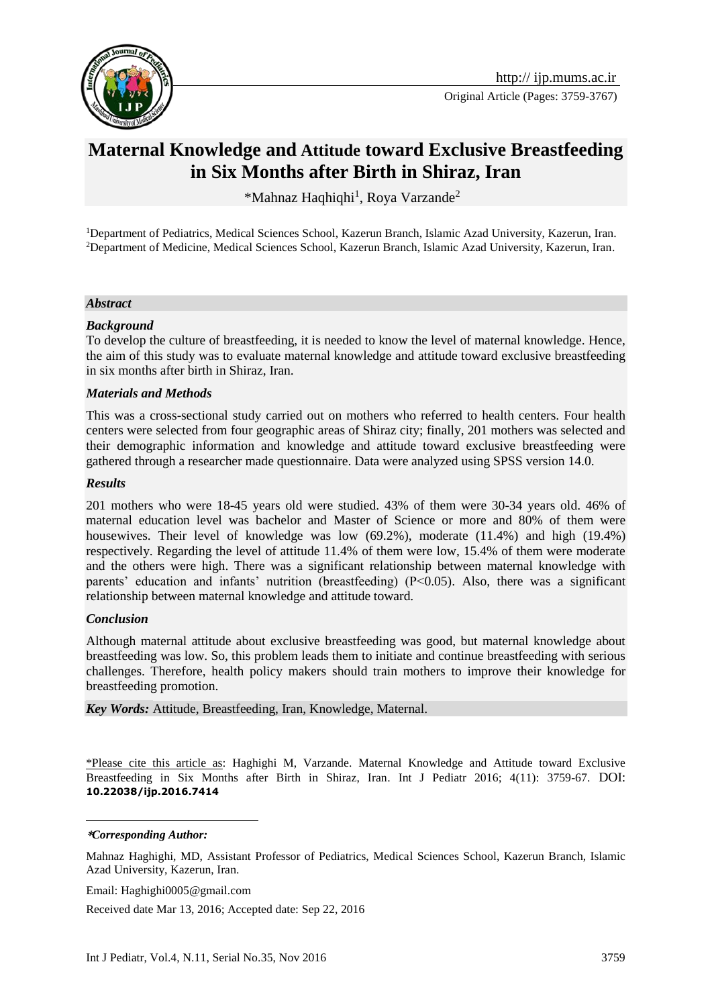

Original Article (Pages: 3759-3767)

# **Maternal Knowledge and Attitude toward Exclusive Breastfeeding in Six Months after Birth in Shiraz, Iran**

\*Mahnaz Haqhiqhi<sup>1</sup>, Roya Varzande<sup>2</sup>

<sup>1</sup>Department of Pediatrics, Medical Sciences School, Kazerun Branch, Islamic Azad University, Kazerun, Iran. <sup>2</sup>Department of Medicine, Medical Sciences School, Kazerun Branch, Islamic Azad University, Kazerun, Iran.

#### *Abstract*

### *Background*

To develop the culture of breastfeeding, it is needed to know the level of maternal knowledge. Hence, the aim of this study was to evaluate maternal knowledge and attitude toward exclusive breastfeeding in six months after birth in Shiraz, Iran.

#### *Materials and Methods*

This was a cross-sectional study carried out on mothers who referred to health centers. Four health centers were selected from four geographic areas of Shiraz city; finally, 201 mothers was selected and their demographic information and knowledge and attitude toward exclusive breastfeeding were gathered through a researcher made questionnaire. Data were analyzed using SPSS version 14.0.

#### *Results*

201 mothers who were 18-45 years old were studied. 43% of them were 30-34 years old. 46% of maternal education level was bachelor and Master of Science or more and 80% of them were housewives. Their level of knowledge was low (69.2%), moderate (11.4%) and high (19.4%) respectively. Regarding the level of attitude 11.4% of them were low, 15.4% of them were moderate and the others were high. There was a significant relationship between maternal knowledge with parents' education and infants' nutrition (breastfeeding) (P<0.05). Also, there was a significant relationship between maternal knowledge and attitude toward.

### *Conclusion*

Although maternal attitude about exclusive breastfeeding was good, but maternal knowledge about breastfeeding was low. So, this problem leads them to initiate and continue breastfeeding with serious challenges. Therefore, health policy makers should train mothers to improve their knowledge for breastfeeding promotion.

*Key Words:* Attitude, Breastfeeding, Iran, Knowledge, Maternal.

\*Please cite this article as: Haghighi M, Varzande. Maternal Knowledge and Attitude toward Exclusive Breastfeeding in Six Months after Birth in Shiraz, Iran. Int J Pediatr 2016; 4(11): 3759-67. DOI: **10.22038/ijp.2016.7414**

1 **\****Corresponding Author:*

Mahnaz Haghighi, MD, Assistant Professor of Pediatrics, Medical Sciences School, Kazerun Branch, Islamic Azad University, Kazerun, Iran.

Email: Haghighi0005@gmail.com

Received date Mar 13, 2016; Accepted date: Sep 22, 2016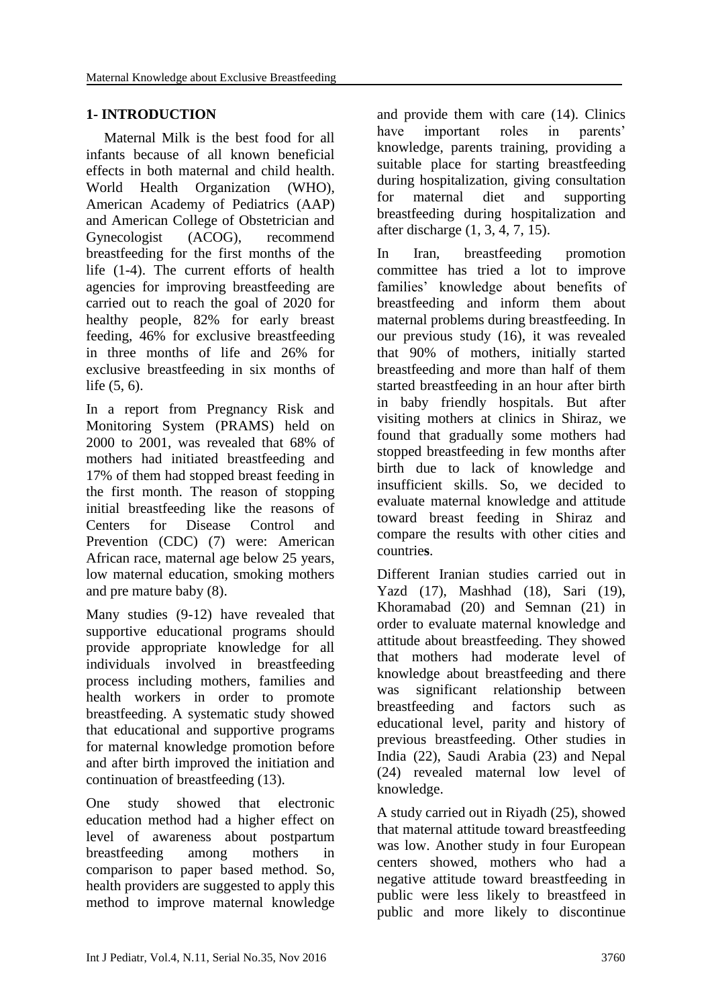# **1- INTRODUCTION**

 Maternal Milk is the best food for all infants because of all known beneficial effects in both maternal and child health. World Health Organization (WHO), American Academy of Pediatrics (AAP) and American College of Obstetrician and Gynecologist (ACOG), recommend breastfeeding for the first months of the life (1-4). The current efforts of health agencies for improving breastfeeding are carried out to reach the goal of 2020 for healthy people, 82% for early breast feeding, 46% for exclusive breastfeeding in three months of life and 26% for exclusive breastfeeding in six months of life (5, 6).

In a report from Pregnancy Risk and Monitoring System (PRAMS) held on 2000 to 2001, was revealed that 68% of mothers had initiated breastfeeding and 17% of them had stopped breast feeding in the first month. The reason of stopping initial breastfeeding like the reasons of [Centers for Disease Control and](mailto:cdc@service.govdelivery.com)  [Prevention \(](mailto:cdc@service.govdelivery.com)CDC) (7) were: American African race, maternal age below 25 years, low maternal education, smoking mothers and pre mature baby (8).

Many studies (9-12) have revealed that supportive educational programs should provide appropriate knowledge for all individuals involved in breastfeeding process including mothers, families and health workers in order to promote breastfeeding. A systematic study showed that educational and supportive programs for maternal knowledge promotion before and after birth improved the initiation and continuation of breastfeeding (13).

One study showed that electronic education method had a higher effect on level of awareness about postpartum breastfeeding among mothers in comparison to paper based method. So, health providers are suggested to apply this method to improve maternal knowledge and provide them with care (14). Clinics have important roles in parents' knowledge, parents training, providing a suitable place for starting breastfeeding during hospitalization, giving consultation for maternal diet and supporting breastfeeding during hospitalization and after discharge (1, 3, 4, 7, 15).

In Iran, breastfeeding promotion committee has tried a lot to improve families' knowledge about benefits of breastfeeding and inform them about maternal problems during breastfeeding. In our previous study (16), it was revealed that 90% of mothers, initially started breastfeeding and more than half of them started breastfeeding in an hour after birth in baby friendly hospitals. But after visiting mothers at clinics in Shiraz, we found that gradually some mothers had stopped breastfeeding in few months after birth due to lack of knowledge and insufficient skills. So, we decided to evaluate maternal knowledge and attitude toward breast feeding in Shiraz and compare the results with other cities and countrie**s**.

Different Iranian studies carried out in Yazd (17), Mashhad (18), Sari (19), Khoramabad (20) and Semnan (21) in order to evaluate maternal knowledge and attitude about breastfeeding. They showed that mothers had moderate level of knowledge about breastfeeding and there was significant relationship between breastfeeding and factors such as educational level, parity and history of previous breastfeeding. Other studies in India (22), Saudi Arabia (23) and Nepal (24) revealed maternal low level of knowledge.

A study carried out in Riyadh (25), showed that maternal attitude toward breastfeeding was low. Another study in four European centers showed, mothers who had a negative attitude toward breastfeeding in public were less likely to breastfeed in public and more likely to discontinue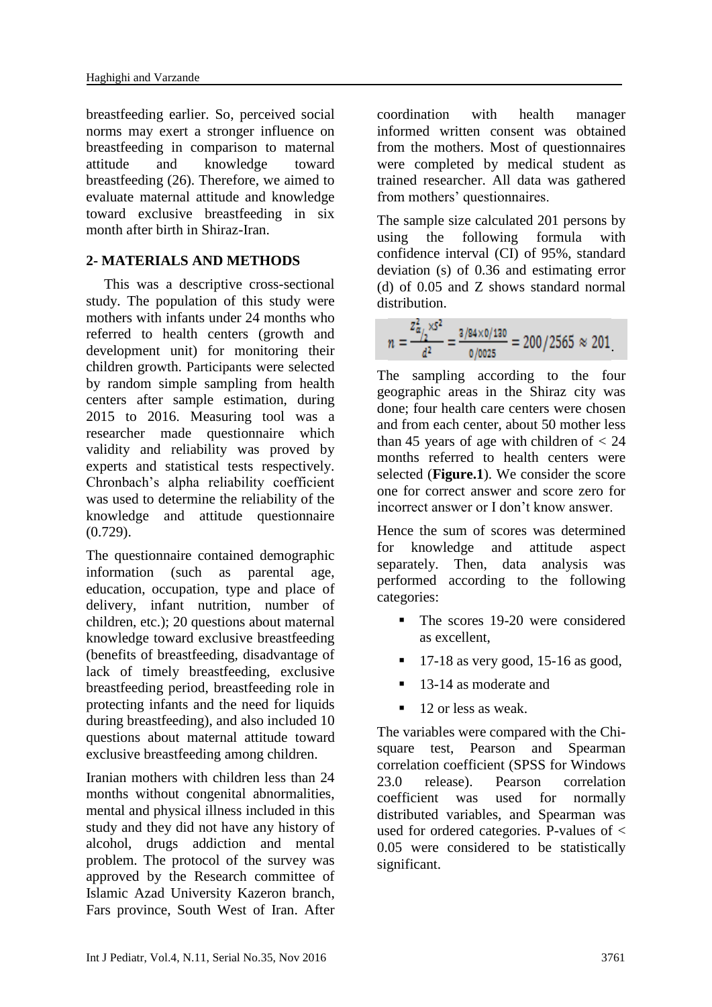breastfeeding earlier. So, perceived social norms may exert a stronger influence on breastfeeding in comparison to maternal attitude and knowledge toward breastfeeding (26). Therefore, we aimed to evaluate maternal attitude and knowledge toward exclusive breastfeeding in six month after birth in Shiraz-Iran.

## **2- MATERIALS AND METHODS**

 This was a descriptive cross-sectional study. The population of this study were mothers with infants under 24 months who referred to health centers (growth and development unit) for monitoring their children growth. Participants were selected by random simple sampling from health centers after sample estimation, during 2015 to 2016. Measuring tool was a researcher made questionnaire which validity and reliability was proved by experts and statistical tests respectively. Chronbach's alpha reliability coefficient was used to determine the reliability of the knowledge and attitude questionnaire (0.729).

The questionnaire contained demographic information (such as parental age, education, occupation, type and place of delivery, infant nutrition, number of children, etc.); 20 questions about maternal knowledge toward exclusive breastfeeding (benefits of breastfeeding, disadvantage of lack of timely breastfeeding, exclusive breastfeeding period, breastfeeding role in protecting infants and the need for liquids during breastfeeding), and also included 10 questions about maternal attitude toward exclusive breastfeeding among children.

Iranian mothers with children less than 24 months without congenital abnormalities, mental and physical illness included in this study and they did not have any history of alcohol, drugs addiction and mental problem. The protocol of the survey was approved by the Research committee of Islamic Azad University Kazeron branch, Fars province, South West of Iran. After coordination with health manager informed written consent was obtained from the mothers. Most of questionnaires were completed by medical student as trained researcher. All data was gathered from mothers' questionnaires.

The sample size calculated 201 persons by using the following formula with confidence interval (CI) of 95%, standard deviation (s) of 0.36 and estimating error (d) of 0.05 and Z shows standard normal distribution.

$$
n = \frac{z_{\alpha/2}^2}{d^2} = \frac{z_{0.0025}}{0.0025} = 200/2565 \approx 201
$$

The sampling according to the four geographic areas in the Shiraz city was done; four health care centers were chosen and from each center, about 50 mother less than 45 years of age with children of  $< 24$ months referred to health centers were selected (**Figure.1**). We consider the score one for correct answer and score zero for incorrect answer or I don't know answer.

Hence the sum of scores was determined for knowledge and attitude aspect separately. Then, data analysis was performed according to the following categories:

- The scores 19-20 were considered as excellent,
- 17-18 as very good, 15-16 as good,
- 13-14 as moderate and
- $\blacksquare$  12 or less as weak.

The variables were compared with the Chisquare test, Pearson and Spearman correlation coefficient (SPSS for Windows 23.0 release). Pearson correlation coefficient was used for normally distributed variables, and Spearman was used for ordered categories. P-values of < 0.05 were considered to be statistically significant.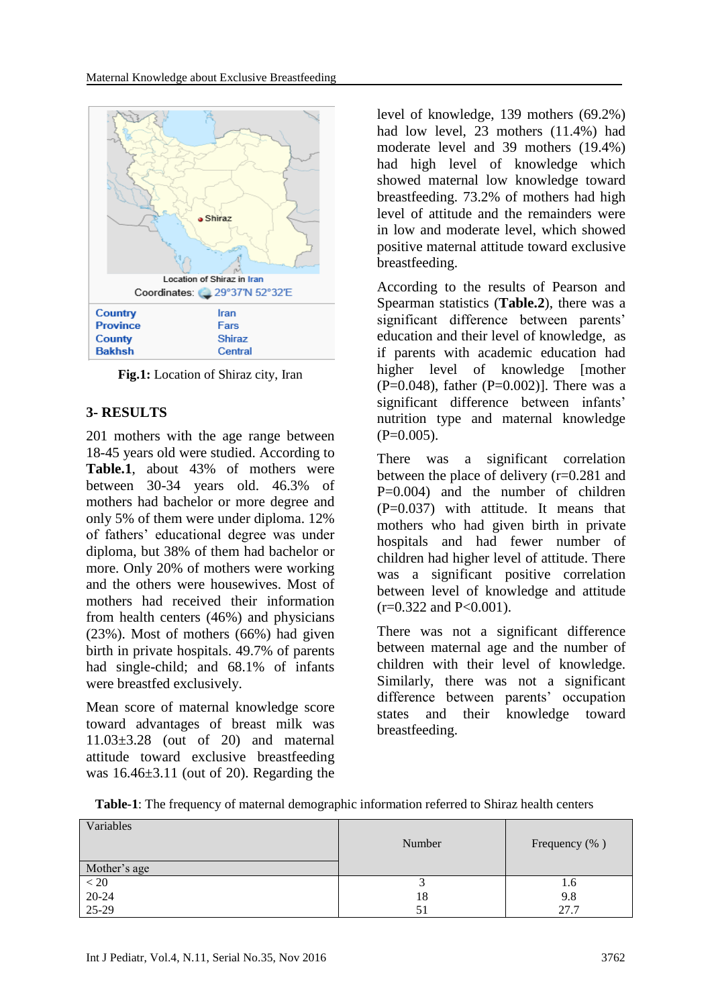

**Fig.1:** Location of Shiraz city, Iran

## **3- RESULTS**

201 mothers with the age range between 18-45 years old were studied. According to **Table.1**, about 43% of mothers were between 30-34 years old. 46.3% of mothers had bachelor or more degree and only 5% of them were under diploma. 12% of fathers' educational degree was under diploma, but 38% of them had bachelor or more. Only 20% of mothers were working and the others were housewives. Most of mothers had received their information from health centers (46%) and physicians (23%). Most of mothers (66%) had given birth in private hospitals. 49.7% of parents had single-child; and 68.1% of infants were breastfed exclusively.

Mean score of maternal knowledge score toward advantages of breast milk was 11.03±3.28 (out of 20) and maternal attitude toward exclusive breastfeeding was 16.46±3.11 (out of 20). Regarding the level of knowledge, 139 mothers (69.2%) had low level, 23 mothers (11.4%) had moderate level and 39 mothers (19.4%) had high level of knowledge which showed maternal low knowledge toward breastfeeding. 73.2% of mothers had high level of attitude and the remainders were in low and moderate level, which showed positive maternal attitude toward exclusive breastfeeding.

According to the results of Pearson and Spearman statistics (**Table.2**), there was a significant difference between parents' education and their level of knowledge, as if parents with academic education had higher level of knowledge [mother  $(P=0.048)$ , father  $(P=0.002)$ ]. There was a significant difference between infants' nutrition type and maternal knowledge  $(P=0.005)$ .

There was a significant correlation between the place of delivery (r=0.281 and  $P=0.004$  and the number of children  $(P=0.037)$  with attitude. It means that mothers who had given birth in private hospitals and had fewer number of children had higher level of attitude. There was a significant positive correlation between level of knowledge and attitude  $(r=0.322$  and P<0.001).

There was not a significant difference between maternal age and the number of children with their level of knowledge. Similarly, there was not a significant difference between parents' occupation states and their knowledge toward breastfeeding.

| Variables                        | Number | Frequency (%) |
|----------------------------------|--------|---------------|
| Mother's age                     |        |               |
| $\frac{1}{20}$<br>20-24<br>25-29 |        | 1.6           |
|                                  | 18     | 9.8           |
|                                  | 51     | 27.7          |

**Table-1**: The frequency of maternal demographic information referred to Shiraz health centers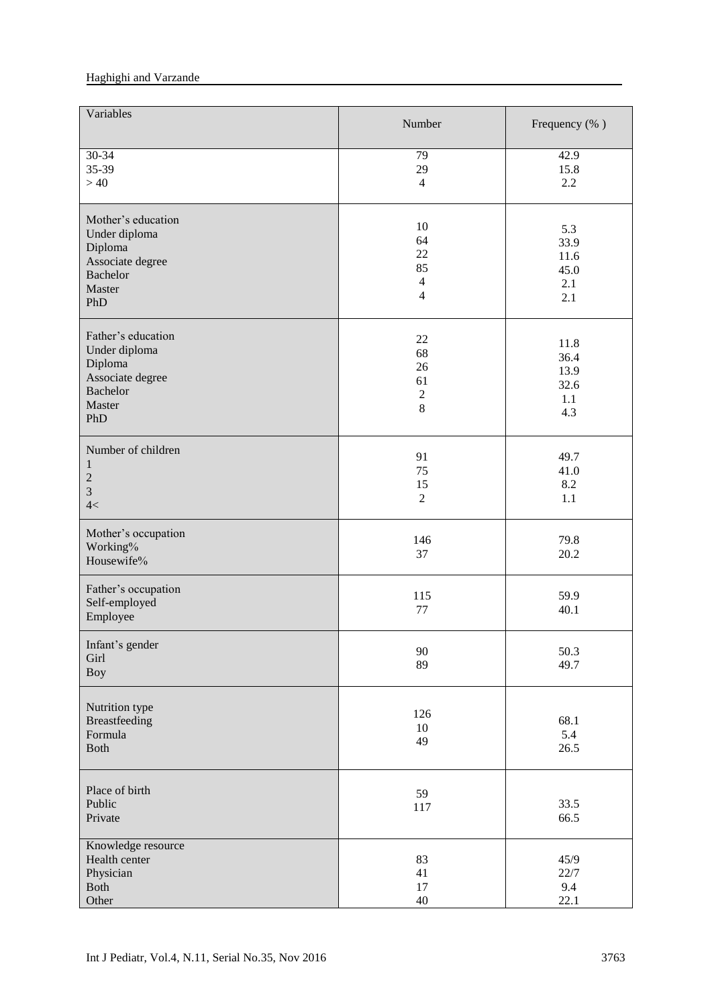#### Haghighi and Varzande

| Variables                                                                                              | Number                                                   | Frequency (%)                              |
|--------------------------------------------------------------------------------------------------------|----------------------------------------------------------|--------------------------------------------|
| 30-34<br>35-39<br>>40                                                                                  | 79<br>29<br>$\overline{4}$                               | 42.9<br>15.8<br>2.2                        |
| Mother's education<br>Under diploma<br>Diploma<br>Associate degree<br><b>Bachelor</b><br>Master<br>PhD | 10<br>64<br>22<br>85<br>$\overline{4}$<br>$\overline{4}$ | 5.3<br>33.9<br>11.6<br>45.0<br>2.1<br>2.1  |
| Father's education<br>Under diploma<br>Diploma<br>Associate degree<br>Bachelor<br>Master<br>PhD        | $22\,$<br>68<br>26<br>61<br>$\sqrt{2}$<br>8              | 11.8<br>36.4<br>13.9<br>32.6<br>1.1<br>4.3 |
| Number of children<br>1<br>$\sqrt{2}$<br>$\overline{3}$<br>4<                                          | 91<br>75<br>15<br>$\overline{2}$                         | 49.7<br>41.0<br>8.2<br>1.1                 |
| Mother's occupation<br>Working%<br>Housewife%                                                          | 146<br>37                                                | 79.8<br>20.2                               |
| Father's occupation<br>Self-employed<br>Employee                                                       | 115<br>77                                                | 59.9<br>40.1                               |
| Infant's gender<br>Girl<br><b>Boy</b>                                                                  | 90<br>89                                                 | 50.3<br>49.7                               |
| Nutrition type<br>Breastfeeding<br>Formula<br><b>Both</b>                                              | 126<br>10<br>49                                          | 68.1<br>5.4<br>26.5                        |
| Place of birth<br>Public<br>Private                                                                    | 59<br>117                                                | 33.5<br>66.5                               |
| Knowledge resource<br>Health center<br>Physician<br>Both<br>Other                                      | 83<br>41<br>17<br>$40\,$                                 | 45/9<br>22/7<br>9.4<br>22.1                |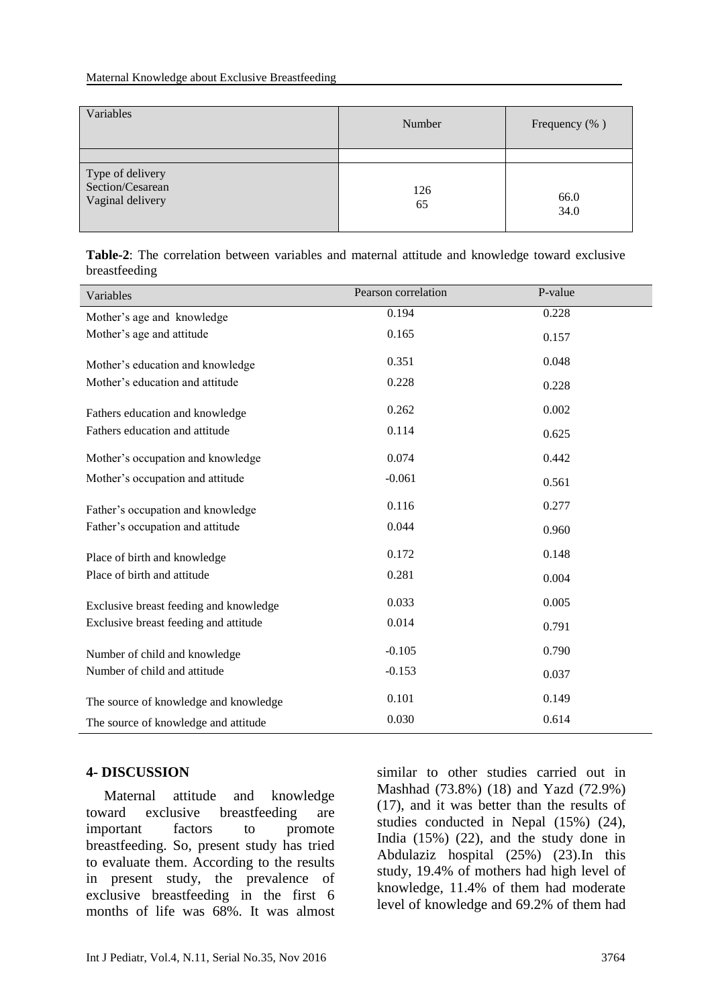| Variables                                                | Number    | Frequency (%) |
|----------------------------------------------------------|-----------|---------------|
| Type of delivery<br>Section/Cesarean<br>Vaginal delivery | 126<br>65 | 66.0<br>34.0  |

**Table-2**: The correlation between variables and maternal attitude and knowledge toward exclusive breastfeeding

| Variables                              | Pearson correlation | P-value |
|----------------------------------------|---------------------|---------|
| Mother's age and knowledge             | 0.194               | 0.228   |
| Mother's age and attitude              | 0.165               | 0.157   |
| Mother's education and knowledge       | 0.351               | 0.048   |
| Mother's education and attitude        | 0.228               | 0.228   |
| Fathers education and knowledge        | 0.262               | 0.002   |
| Fathers education and attitude         | 0.114               | 0.625   |
| Mother's occupation and knowledge      | 0.074               | 0.442   |
| Mother's occupation and attitude       | $-0.061$            | 0.561   |
| Father's occupation and knowledge      | 0.116               | 0.277   |
| Father's occupation and attitude       | 0.044               | 0.960   |
| Place of birth and knowledge           | 0.172               | 0.148   |
| Place of birth and attitude            | 0.281               | 0.004   |
| Exclusive breast feeding and knowledge | 0.033               | 0.005   |
| Exclusive breast feeding and attitude  | 0.014               | 0.791   |
| Number of child and knowledge          | $-0.105$            | 0.790   |
| Number of child and attitude           | $-0.153$            | 0.037   |
| The source of knowledge and knowledge  | 0.101               | 0.149   |
| The source of knowledge and attitude   | 0.030               | 0.614   |

### **4- DISCUSSION**

 Maternal attitude and knowledge toward exclusive breastfeeding are important factors to promote breastfeeding. So, present study has tried to evaluate them. According to the results in present study, the prevalence of exclusive breastfeeding in the first 6 months of life was 68%. It was almost

similar to other studies carried out in Mashhad (73.8%) (18) and Yazd (72.9%) (17), and it was better than the results of studies conducted in Nepal (15%) (24), India (15%) (22), and the study done in Abdulaziz hospital (25%) (23).In this study, 19.4% of mothers had high level of knowledge, 11.4% of them had moderate level of knowledge and 69.2% of them had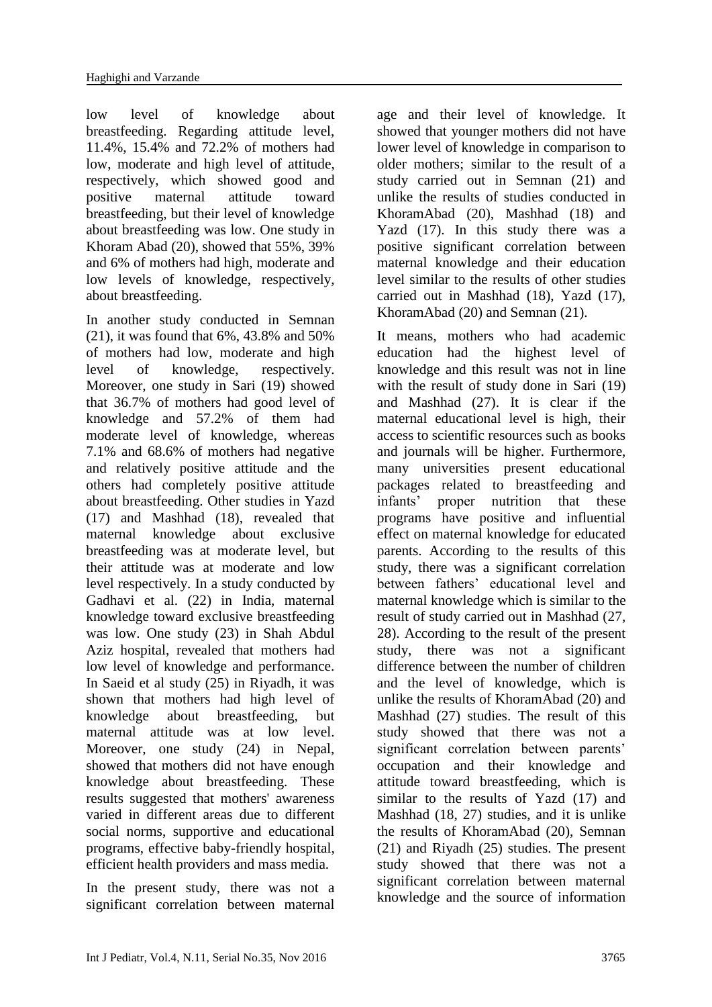low level of knowledge about breastfeeding. Regarding attitude level, 11.4%, 15.4% and 72.2% of mothers had low, moderate and high level of attitude, respectively, which showed good and positive maternal attitude toward breastfeeding, but their level of knowledge about breastfeeding was low. One study in Khoram Abad (20), showed that 55%, 39% and 6% of mothers had high, moderate and low levels of knowledge, respectively, about breastfeeding.

In another study conducted in Semnan (21), it was found that 6%, 43.8% and 50% of mothers had low, moderate and high level of knowledge, respectively. Moreover, one study in Sari (19) showed that 36.7% of mothers had good level of knowledge and 57.2% of them had moderate level of knowledge, whereas 7.1% and 68.6% of mothers had negative and relatively positive attitude and the others had completely positive attitude about breastfeeding. Other studies in Yazd (17) and Mashhad (18), revealed that maternal knowledge about exclusive breastfeeding was at moderate level, but their attitude was at moderate and low level respectively. In a study conducted by Gadhavi et al. (22) in India, maternal knowledge toward exclusive breastfeeding was low. One study (23) in Shah Abdul Aziz hospital, revealed that mothers had low level of knowledge and performance. In Saeid et al study (25) in Riyadh, it was shown that mothers had high level of knowledge about breastfeeding, but maternal attitude was at low level. Moreover, one study (24) in Nepal, showed that mothers did not have enough knowledge about breastfeeding. These results suggested that mothers' awareness varied in different areas due to different social norms, supportive and educational programs, effective baby-friendly hospital, efficient health providers and mass media.

In the present study, there was not a significant correlation between maternal age and their level of knowledge. It showed that younger mothers did not have lower level of knowledge in comparison to older mothers; similar to the result of a study carried out in Semnan (21) and unlike the results of studies conducted in KhoramAbad (20), Mashhad (18) and Yazd (17). In this study there was a positive significant correlation between maternal knowledge and their education level similar to the results of other studies carried out in Mashhad (18), Yazd (17), KhoramAbad (20) and Semnan (21).

It means, mothers who had academic education had the highest level of knowledge and this result was not in line with the result of study done in Sari (19) and Mashhad (27). It is clear if the maternal educational level is high, their access to scientific resources such as books and journals will be higher. Furthermore, many universities present educational packages related to breastfeeding and infants' proper nutrition that these programs have positive and influential effect on maternal knowledge for educated parents. According to the results of this study, there was a significant correlation between fathers' educational level and maternal knowledge which is similar to the result of study carried out in Mashhad (27, 28). According to the result of the present study, there was not a significant difference between the number of children and the level of knowledge, which is unlike the results of KhoramAbad (20) and Mashhad (27) studies. The result of this study showed that there was not a significant correlation between parents' occupation and their knowledge and attitude toward breastfeeding, which is similar to the results of Yazd (17) and Mashhad (18, 27) studies, and it is unlike the results of KhoramAbad (20), Semnan (21) and Riyadh (25) studies. The present study showed that there was not a significant correlation between maternal knowledge and the source of information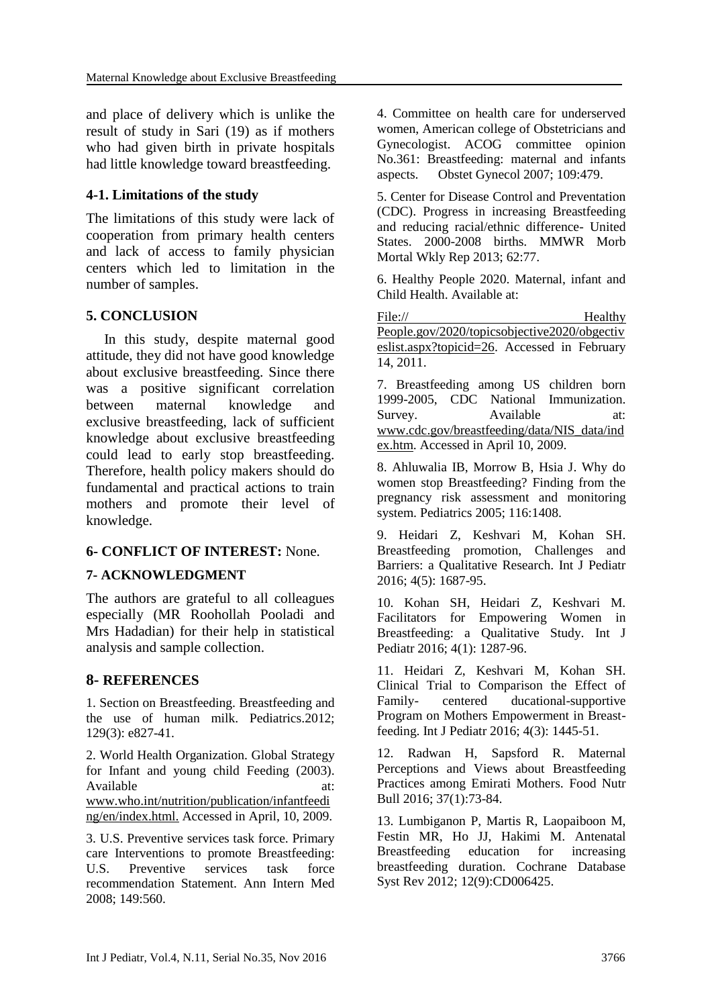and place of delivery which is unlike the result of study in Sari (19) as if mothers who had given birth in private hospitals had little knowledge toward breastfeeding.

## **4-1. Limitations of the study**

The limitations of this study were lack of cooperation from primary health centers and lack of access to family physician centers which led to limitation in the number of samples.

## **5. CONCLUSION**

 In this study, despite maternal good attitude, they did not have good knowledge about exclusive breastfeeding. Since there was a positive significant correlation between maternal knowledge and exclusive breastfeeding, lack of sufficient knowledge about exclusive breastfeeding could lead to early stop breastfeeding. Therefore, health policy makers should do fundamental and practical actions to train mothers and promote their level of knowledge.

## **6- CONFLICT OF INTEREST:** None.

## **7- ACKNOWLEDGMENT**

The authors are grateful to all colleagues especially (MR Roohollah Pooladi and Mrs Hadadian) for their help in statistical analysis and sample collection.

## **8- REFERENCES**

1. Section on Breastfeeding. Breastfeeding and the use of human milk. Pediatrics.2012; 129(3): e827-41.

2. World Health Organization. Global Strategy for Infant and young child Feeding (2003). Available at: at: www.who.int/nutrition/publication/infantfeedi ng/en/index.html. Accessed in April, 10, 2009.

3. U.S. Preventive services task force. Primary care Interventions to promote Breastfeeding: U.S. Preventive services task force recommendation Statement. Ann Intern Med 2008; 149:560.

4. Committee on health care for underserved women, American college of Obstetricians and Gynecologist. ACOG committee opinion No.361: Breastfeeding: maternal and infants aspects. Obstet Gynecol 2007; 109:479.

5. Center for Disease Control and Preventation (CDC). Progress in increasing Breastfeeding and reducing racial/ethnic difference- United States. 2000-2008 births. MMWR Morb Mortal Wkly Rep 2013; 62:77.

6. Healthy People 2020. Maternal, infant and Child Health. Available at:

File:// Healthy People.gov/2020/topicsobjective2020/obgectiv eslist.aspx?topicid=26. Accessed in February 14, 2011.

7. Breastfeeding among US children born 1999-2005, CDC National Immunization. Survey. Available at: www.cdc.gov/breastfeeding/data/NIS\_data/ind ex.htm. Accessed in April 10, 2009.

8. Ahluwalia IB, Morrow B, Hsia J. Why do women stop Breastfeeding? Finding from the pregnancy risk assessment and monitoring system. Pediatrics 2005; 116:1408.

9. Heidari Z, Keshvari M, Kohan SH. Breastfeeding promotion, Challenges and Barriers: a Qualitative Research. Int J Pediatr 2016; 4(5): 1687-95.

10. Kohan SH, Heidari Z, Keshvari M. Facilitators for Empowering Women in Breastfeeding: a Qualitative Study. Int J Pediatr 2016; 4(1): 1287-96.

11. Heidari Z, Keshvari M, Kohan SH. Clinical Trial to Comparison the Effect of Family- centered ducational-supportive Program on Mothers Empowerment in Breastfeeding. Int J Pediatr 2016; 4(3): 1445-51.

12. [Radwan H,](http://www.ncbi.nlm.nih.gov/pubmed/?term=Radwan%20H%5BAuthor%5D&cauthor=true&cauthor_uid=26793991) [Sapsford R.](http://www.ncbi.nlm.nih.gov/pubmed/?term=Sapsford%20R%5BAuthor%5D&cauthor=true&cauthor_uid=26793991) Maternal Perceptions and Views about Breastfeeding Practices among Emirati Mothers. [Food Nutr](http://www.ncbi.nlm.nih.gov/pubmed/26793991)  [Bull](http://www.ncbi.nlm.nih.gov/pubmed/26793991) 2016; 37(1):73-84.

13. Lumbiganon P, Martis R, Laopaiboon M, [Festin MR,](https://www.ncbi.nlm.nih.gov/pubmed/?term=Festin%20MR%5BAuthor%5D&cauthor=true&cauthor_uid=22972092) [Ho JJ,](https://www.ncbi.nlm.nih.gov/pubmed/?term=Ho%20JJ%5BAuthor%5D&cauthor=true&cauthor_uid=22972092) [Hakimi M.](https://www.ncbi.nlm.nih.gov/pubmed/?term=Hakimi%20M%5BAuthor%5D&cauthor=true&cauthor_uid=22972092) Antenatal Breastfeeding education for increasing breastfeeding duration. Cochrane Database Syst Rev 2012; 12(9):CD006425.